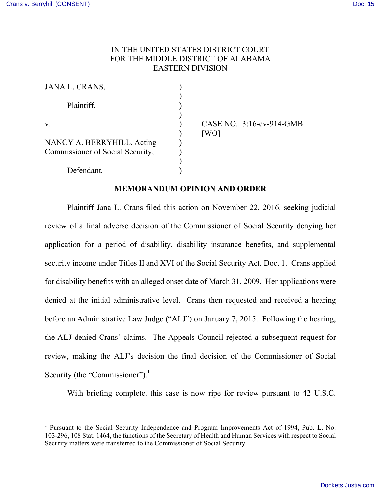# IN THE UNITED STATES DISTRICT COURT FOR THE MIDDLE DISTRICT OF ALABAMA EASTERN DIVISION

| JANA L. CRANS,                                                 |  |
|----------------------------------------------------------------|--|
| Plaintiff,                                                     |  |
| $V_{\rm}$                                                      |  |
| NANCY A. BERRYHILL, Acting<br>Commissioner of Social Security, |  |
| Defendant.                                                     |  |

CASE NO.: 3:16-cv-914-GMB  $[WO]$ 

## **MEMORANDUM OPINION AND ORDER**

Plaintiff Jana L. Crans filed this action on November 22, 2016, seeking judicial review of a final adverse decision of the Commissioner of Social Security denying her application for a period of disability, disability insurance benefits, and supplemental security income under Titles II and XVI of the Social Security Act. Doc. 1. Crans applied for disability benefits with an alleged onset date of March 31, 2009. Her applications were denied at the initial administrative level. Crans then requested and received a hearing before an Administrative Law Judge ("ALJ") on January 7, 2015. Following the hearing, the ALJ denied Crans' claims. The Appeals Council rejected a subsequent request for review, making the ALJ's decision the final decision of the Commissioner of Social Security (the "Commissioner").<sup>1</sup>

With briefing complete, this case is now ripe for review pursuant to 42 U.S.C.

<sup>&</sup>lt;sup>1</sup> Pursuant to the Social Security Independence and Program Improvements Act of 1994, Pub. L. No. 103-296, 108 Stat. 1464, the functions of the Secretary of Health and Human Services with respect to Social Security matters were transferred to the Commissioner of Social Security.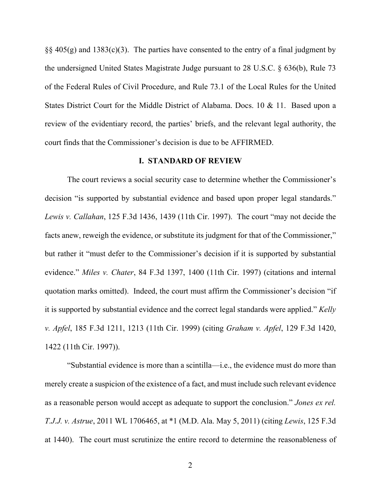$\S$ § 405(g) and 1383(c)(3). The parties have consented to the entry of a final judgment by the undersigned United States Magistrate Judge pursuant to 28 U.S.C. § 636(b), Rule 73 of the Federal Rules of Civil Procedure, and Rule 73.1 of the Local Rules for the United States District Court for the Middle District of Alabama. Docs. 10 & 11. Based upon a review of the evidentiary record, the parties' briefs, and the relevant legal authority, the court finds that the Commissioner's decision is due to be AFFIRMED.

## **I. STANDARD OF REVIEW**

The court reviews a social security case to determine whether the Commissioner's decision "is supported by substantial evidence and based upon proper legal standards." *Lewis v. Callahan*, 125 F.3d 1436, 1439 (11th Cir. 1997). The court "may not decide the facts anew, reweigh the evidence, or substitute its judgment for that of the Commissioner," but rather it "must defer to the Commissioner's decision if it is supported by substantial evidence." *Miles v. Chater*, 84 F.3d 1397, 1400 (11th Cir. 1997) (citations and internal quotation marks omitted). Indeed, the court must affirm the Commissioner's decision "if it is supported by substantial evidence and the correct legal standards were applied." *Kelly v. Apfel*, 185 F.3d 1211, 1213 (11th Cir. 1999) (citing *Graham v. Apfel*, 129 F.3d 1420, 1422 (11th Cir. 1997)).

"Substantial evidence is more than a scintilla—i.e., the evidence must do more than merely create a suspicion of the existence of a fact, and must include such relevant evidence as a reasonable person would accept as adequate to support the conclusion." *Jones ex rel. T.J.J. v. Astrue*, 2011 WL 1706465, at \*1 (M.D. Ala. May 5, 2011) (citing *Lewis*, 125 F.3d at 1440). The court must scrutinize the entire record to determine the reasonableness of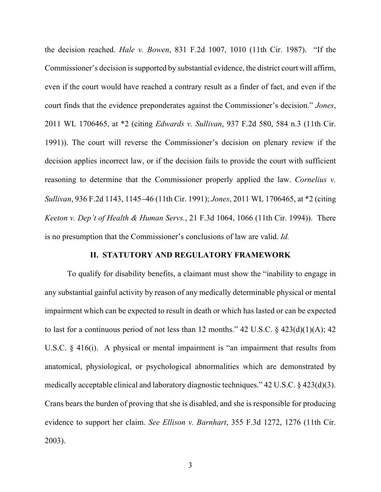the decision reached. *Hale v. Bowen*, 831 F.2d 1007, 1010 (11th Cir. 1987). "If the Commissioner's decision is supported by substantial evidence, the district court will affirm, even if the court would have reached a contrary result as a finder of fact, and even if the court finds that the evidence preponderates against the Commissioner's decision." *Jones*, 2011 WL 1706465, at \*2 (citing *Edwards v. Sullivan*, 937 F.2d 580, 584 n.3 (11th Cir. 1991)). The court will reverse the Commissioner's decision on plenary review if the decision applies incorrect law, or if the decision fails to provide the court with sufficient reasoning to determine that the Commissioner properly applied the law. *Cornelius v. Sullivan*, 936 F.2d 1143, 1145-46 (11th Cir. 1991); *Jones*, 2011 WL 1706465, at \*2 (citing *Keeton v. Dep't of Health & Human Servs.*, 21 F.3d 1064, 1066 (11th Cir. 1994)). There is no presumption that the Commissioner's conclusions of law are valid. *Id.*

### **II. STATUTORY AND REGULATORY FRAMEWORK**

To qualify for disability benefits, a claimant must show the "inability to engage in any substantial gainful activity by reason of any medically determinable physical or mental impairment which can be expected to result in death or which has lasted or can be expected to last for a continuous period of not less than 12 months."  $42 \text{ U.S.C.}$  §  $423(d)(1)(A)$ ;  $42$ U.S.C. § 416(i). A physical or mental impairment is "an impairment that results from anatomical, physiological, or psychological abnormalities which are demonstrated by medically acceptable clinical and laboratory diagnostic techniques." 42 U.S.C. § 423(d)(3). Crans bears the burden of proving that she is disabled, and she is responsible for producing evidence to support her claim. *See Ellison v. Barnhart*, 355 F.3d 1272, 1276 (11th Cir. 2003).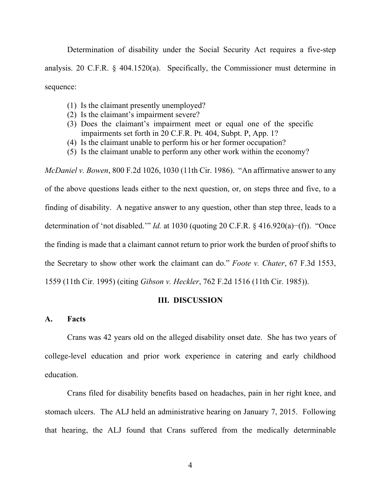Determination of disability under the Social Security Act requires a five-step analysis. 20 C.F.R. § 404.1520(a). Specifically, the Commissioner must determine in sequence:

- (1) Is the claimant presently unemployed?
- (2) Is the claimant's impairment severe?
- (3) Does the claimant's impairment meet or equal one of the specific impairments set forth in 20 C.F.R. Pt. 404, Subpt. P, App. 1?
- (4) Is the claimant unable to perform his or her former occupation?
- (5) Is the claimant unable to perform any other work within the economy?

*McDaniel v. Bowen*, 800 F.2d 1026, 1030 (11th Cir. 1986). "An affirmative answer to any of the above questions leads either to the next question, or, on steps three and five, to a finding of disability. A negative answer to any question, other than step three, leads to a determination of 'not disabled.'" *Id.* at 1030 (quoting 20 C.F.R. § 416.920(a)−(f)). "Once the finding is made that a claimant cannot return to prior work the burden of proof shifts to the Secretary to show other work the claimant can do." *Foote v. Chater*, 67 F.3d 1553, 1559 (11th Cir. 1995) (citing *Gibson v. Heckler*, 762 F.2d 1516 (11th Cir. 1985)).

#### **III. DISCUSSION**

### **A. Facts**

Crans was 42 years old on the alleged disability onset date. She has two years of college-level education and prior work experience in catering and early childhood education.

Crans filed for disability benefits based on headaches, pain in her right knee, and stomach ulcers. The ALJ held an administrative hearing on January 7, 2015. Following that hearing, the ALJ found that Crans suffered from the medically determinable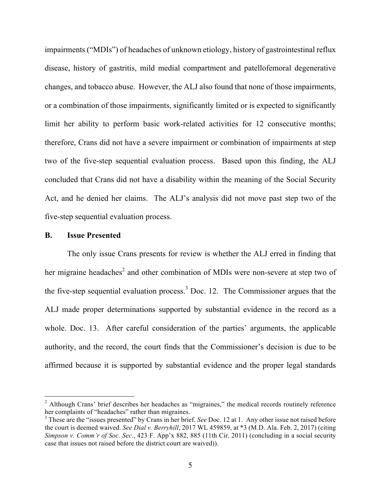impairments ("MDIs") of headaches of unknown etiology, history of gastrointestinal reflux disease, history of gastritis, mild medial compartment and patellofemoral degenerative changes, and tobacco abuse. However, the ALJ also found that none of those impairments, or a combination of those impairments, significantly limited or is expected to significantly limit her ability to perform basic work-related activities for 12 consecutive months; therefore, Crans did not have a severe impairment or combination of impairments at step two of the five-step sequential evaluation process. Based upon this finding, the ALJ concluded that Crans did not have a disability within the meaning of the Social Security Act, and he denied her claims. The ALJ's analysis did not move past step two of the five-step sequential evaluation process.

#### **B. Issue Presented**

The only issue Crans presents for review is whether the ALJ erred in finding that her migraine headaches<sup>2</sup> and other combination of MDIs were non-severe at step two of the five-step sequential evaluation process.<sup>3</sup> Doc. 12. The Commissioner argues that the ALJ made proper determinations supported by substantial evidence in the record as a whole. Doc. 13. After careful consideration of the parties' arguments, the applicable authority, and the record, the court finds that the Commissioner's decision is due to be affirmed because it is supported by substantial evidence and the proper legal standards

 $2$  Although Crans' brief describes her headaches as "migraines," the medical records routinely reference her complaints of "headaches" rather than migraines.<br><sup>3</sup> These are the "issues presented" by Crans in her brief. *See* Doc. 12 at 1. Any other issue not raised before

the court is deemed waived. *See Dial v. Berryhill*, 2017 WL 459859, at \*3 (M.D. Ala. Feb. 2, 2017) (citing *Simpson v. Comm'r of Soc. Sec.*, 423 F. App'x 882, 885 (11th Cir. 2011) (concluding in a social security case that issues not raised before the district court are waived)).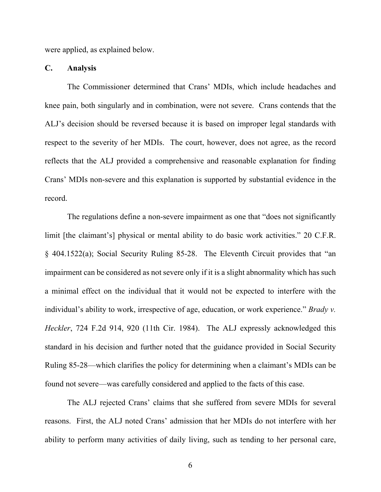were applied, as explained below.

#### **C. Analysis**

The Commissioner determined that Crans' MDIs, which include headaches and knee pain, both singularly and in combination, were not severe. Crans contends that the ALJ's decision should be reversed because it is based on improper legal standards with respect to the severity of her MDIs. The court, however, does not agree, as the record reflects that the ALJ provided a comprehensive and reasonable explanation for finding Crans' MDIs non-severe and this explanation is supported by substantial evidence in the record.

The regulations define a non-severe impairment as one that "does not significantly limit [the claimant's] physical or mental ability to do basic work activities." 20 C.F.R. § 404.1522(a); Social Security Ruling 85-28. The Eleventh Circuit provides that "an impairment can be considered as not severe only if it is a slight abnormality which has such a minimal effect on the individual that it would not be expected to interfere with the individual's ability to work, irrespective of age, education, or work experience." *Brady v. Heckler*, 724 F.2d 914, 920 (11th Cir. 1984). The ALJ expressly acknowledged this standard in his decision and further noted that the guidance provided in Social Security Ruling 85-28—which clarifies the policy for determining when a claimant's MDIs can be found not severe—was carefully considered and applied to the facts of this case.

The ALJ rejected Crans' claims that she suffered from severe MDIs for several reasons. First, the ALJ noted Crans' admission that her MDIs do not interfere with her ability to perform many activities of daily living, such as tending to her personal care,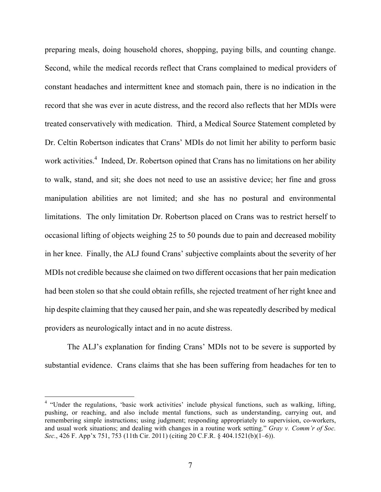preparing meals, doing household chores, shopping, paying bills, and counting change. Second, while the medical records reflect that Crans complained to medical providers of constant headaches and intermittent knee and stomach pain, there is no indication in the record that she was ever in acute distress, and the record also reflects that her MDIs were treated conservatively with medication. Third, a Medical Source Statement completed by Dr. Celtin Robertson indicates that Crans' MDIs do not limit her ability to perform basic work activities.<sup>4</sup> Indeed, Dr. Robertson opined that Crans has no limitations on her ability to walk, stand, and sit; she does not need to use an assistive device; her fine and gross manipulation abilities are not limited; and she has no postural and environmental limitations. The only limitation Dr. Robertson placed on Crans was to restrict herself to occasional lifting of objects weighing 25 to 50 pounds due to pain and decreased mobility in her knee. Finally, the ALJ found Crans' subjective complaints about the severity of her MDIs not credible because she claimed on two different occasions that her pain medication had been stolen so that she could obtain refills, she rejected treatment of her right knee and hip despite claiming that they caused her pain, and she was repeatedly described by medical providers as neurologically intact and in no acute distress.

The ALJ's explanation for finding Crans' MDIs not to be severe is supported by substantial evidence. Crans claims that she has been suffering from headaches for ten to

 <sup>4</sup> "Under the regulations, 'basic work activities' include physical functions, such as walking, lifting, pushing, or reaching, and also include mental functions, such as understanding, carrying out, and remembering simple instructions; using judgment; responding appropriately to supervision, co-workers, and usual work situations; and dealing with changes in a routine work setting." *Gray v. Comm'r of Soc. Sec.*, 426 F. App'x 751, 753 (11th Cir. 2011) (citing 20 C.F.R. § 404.1521(b)(1–6)).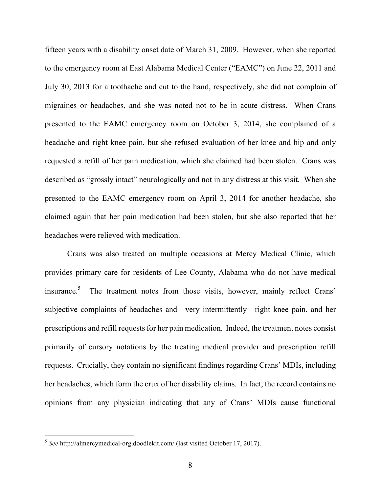fifteen years with a disability onset date of March 31, 2009. However, when she reported to the emergency room at East Alabama Medical Center ("EAMC") on June 22, 2011 and July 30, 2013 for a toothache and cut to the hand, respectively, she did not complain of migraines or headaches, and she was noted not to be in acute distress. When Crans presented to the EAMC emergency room on October 3, 2014, she complained of a headache and right knee pain, but she refused evaluation of her knee and hip and only requested a refill of her pain medication, which she claimed had been stolen. Crans was described as "grossly intact" neurologically and not in any distress at this visit. When she presented to the EAMC emergency room on April 3, 2014 for another headache, she claimed again that her pain medication had been stolen, but she also reported that her headaches were relieved with medication.

Crans was also treated on multiple occasions at Mercy Medical Clinic, which provides primary care for residents of Lee County, Alabama who do not have medical insurance.<sup>5</sup> The treatment notes from those visits, however, mainly reflect Crans' subjective complaints of headaches and—very intermittently—right knee pain, and her prescriptions and refill requests for her pain medication. Indeed, the treatment notes consist primarily of cursory notations by the treating medical provider and prescription refill requests. Crucially, they contain no significant findings regarding Crans' MDIs, including her headaches, which form the crux of her disability claims. In fact, the record contains no opinions from any physician indicating that any of Crans' MDIs cause functional

 <sup>5</sup> *See* http://almercymedical-org.doodlekit.com/ (last visited October 17, 2017).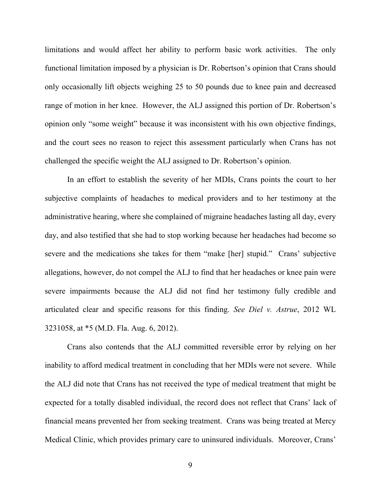limitations and would affect her ability to perform basic work activities. The only functional limitation imposed by a physician is Dr. Robertson's opinion that Crans should only occasionally lift objects weighing 25 to 50 pounds due to knee pain and decreased range of motion in her knee. However, the ALJ assigned this portion of Dr. Robertson's opinion only "some weight" because it was inconsistent with his own objective findings, and the court sees no reason to reject this assessment particularly when Crans has not challenged the specific weight the ALJ assigned to Dr. Robertson's opinion.

In an effort to establish the severity of her MDIs, Crans points the court to her subjective complaints of headaches to medical providers and to her testimony at the administrative hearing, where she complained of migraine headaches lasting all day, every day, and also testified that she had to stop working because her headaches had become so severe and the medications she takes for them "make [her] stupid." Crans' subjective allegations, however, do not compel the ALJ to find that her headaches or knee pain were severe impairments because the ALJ did not find her testimony fully credible and articulated clear and specific reasons for this finding. *See Diel v. Astrue*, 2012 WL 3231058, at \*5 (M.D. Fla. Aug. 6, 2012).

Crans also contends that the ALJ committed reversible error by relying on her inability to afford medical treatment in concluding that her MDIs were not severe. While the ALJ did note that Crans has not received the type of medical treatment that might be expected for a totally disabled individual, the record does not reflect that Crans' lack of financial means prevented her from seeking treatment. Crans was being treated at Mercy Medical Clinic, which provides primary care to uninsured individuals. Moreover, Crans'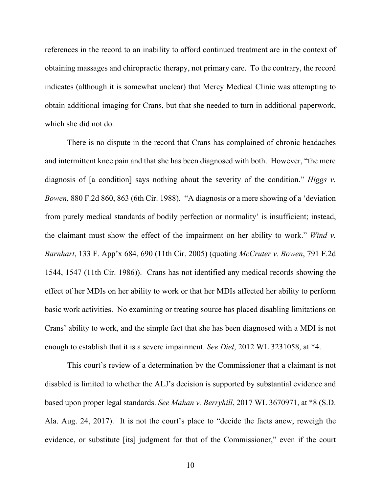references in the record to an inability to afford continued treatment are in the context of obtaining massages and chiropractic therapy, not primary care. To the contrary, the record indicates (although it is somewhat unclear) that Mercy Medical Clinic was attempting to obtain additional imaging for Crans, but that she needed to turn in additional paperwork, which she did not do.

There is no dispute in the record that Crans has complained of chronic headaches and intermittent knee pain and that she has been diagnosed with both. However, "the mere diagnosis of [a condition] says nothing about the severity of the condition." *Higgs v. Bowen*, 880 F.2d 860, 863 (6th Cir. 1988). "A diagnosis or a mere showing of a 'deviation from purely medical standards of bodily perfection or normality' is insufficient; instead, the claimant must show the effect of the impairment on her ability to work." *Wind v. Barnhart*, 133 F. App'x 684, 690 (11th Cir. 2005) (quoting *McCruter v. Bowen*, 791 F.2d 1544, 1547 (11th Cir. 1986)). Crans has not identified any medical records showing the effect of her MDIs on her ability to work or that her MDIs affected her ability to perform basic work activities. No examining or treating source has placed disabling limitations on Crans' ability to work, and the simple fact that she has been diagnosed with a MDI is not enough to establish that it is a severe impairment. *See Diel*, 2012 WL 3231058, at \*4.

This court's review of a determination by the Commissioner that a claimant is not disabled is limited to whether the ALJ's decision is supported by substantial evidence and based upon proper legal standards. *See Mahan v. Berryhill*, 2017 WL 3670971, at \*8 (S.D. Ala. Aug. 24, 2017). It is not the court's place to "decide the facts anew, reweigh the evidence, or substitute [its] judgment for that of the Commissioner," even if the court